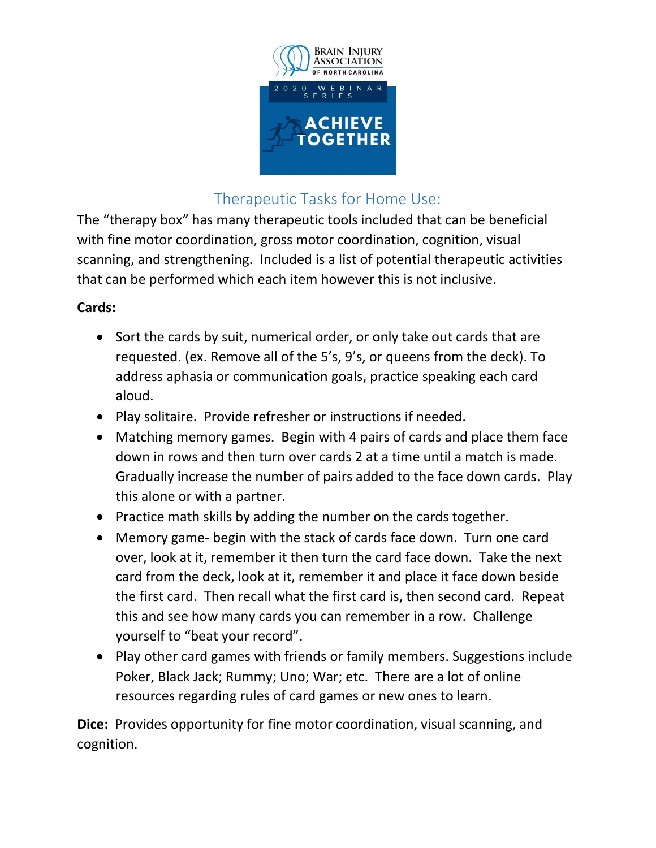

# Therapeutic Tasks for Home Use:

The "therapy box" has many therapeutic tools included that can be beneficial with fine motor coordination, gross motor coordination, cognition, visual scanning, and strengthening. Included is a list of potential therapeutic activities that can be performed which each item however this is not inclusive.

## Cards:

- Sort the cards by suit, numerical order, or only take out cards that are requested. (ex. Remove all of the 5's, 9's, or queens from the deck). To address aphasia or communication goals, practice speaking each card aloud.
- Play solitaire. Provide refresher or instructions if needed.
- Matching memory games. Begin with 4 pairs of cards and place them face down in rows and then turn over cards 2 at a time until a match is made. Gradually increase the number of pairs added to the face down cards. Play this alone or with a partner.
- Practice math skills by adding the number on the cards together.
- Memory game- begin with the stack of cards face down. Turn one card over, look at it, remember it then turn the card face down. Take the next card from the deck, look at it, remember it and place it face down beside the first card. Then recall what the first card is, then second card. Repeat this and see how many cards you can remember in a row. Challenge yourself to "beat your record".
- Play other card games with friends or family members. Suggestions include Poker, Black Jack; Rummy; Uno; War; etc. There are a lot of online resources regarding rules of card games or new ones to learn.

Dice: Provides opportunity for fine motor coordination, visual scanning, and cognition.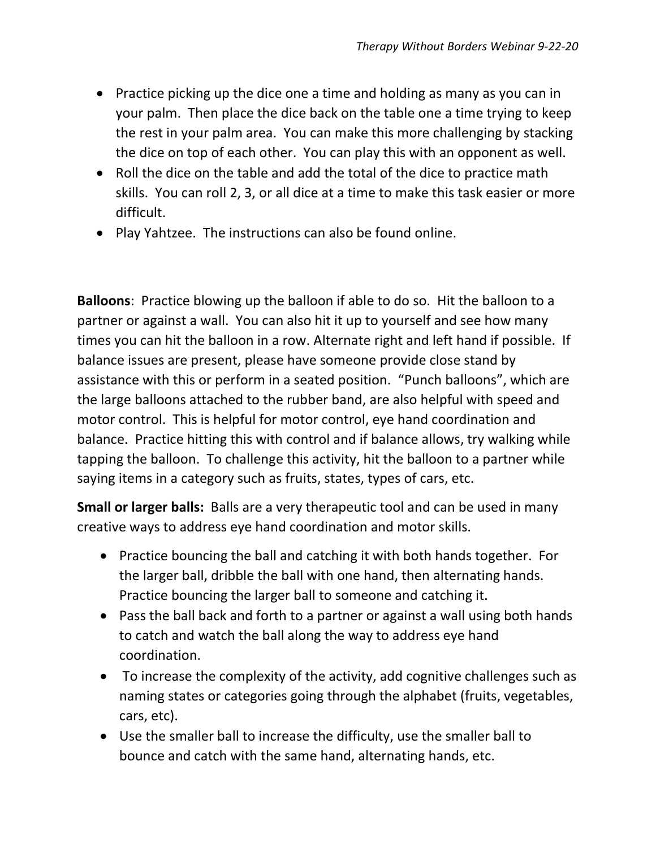- Practice picking up the dice one a time and holding as many as you can in your palm. Then place the dice back on the table one a time trying to keep the rest in your palm area. You can make this more challenging by stacking the dice on top of each other. You can play this with an opponent as well.
- Roll the dice on the table and add the total of the dice to practice math skills. You can roll 2, 3, or all dice at a time to make this task easier or more difficult.
- Play Yahtzee. The instructions can also be found online.

Balloons: Practice blowing up the balloon if able to do so. Hit the balloon to a partner or against a wall. You can also hit it up to yourself and see how many times you can hit the balloon in a row. Alternate right and left hand if possible. If balance issues are present, please have someone provide close stand by assistance with this or perform in a seated position. "Punch balloons", which are the large balloons attached to the rubber band, are also helpful with speed and motor control. This is helpful for motor control, eye hand coordination and balance. Practice hitting this with control and if balance allows, try walking while tapping the balloon. To challenge this activity, hit the balloon to a partner while saying items in a category such as fruits, states, types of cars, etc.

Small or larger balls: Balls are a very therapeutic tool and can be used in many creative ways to address eye hand coordination and motor skills.

- Practice bouncing the ball and catching it with both hands together. For the larger ball, dribble the ball with one hand, then alternating hands. Practice bouncing the larger ball to someone and catching it.
- Pass the ball back and forth to a partner or against a wall using both hands to catch and watch the ball along the way to address eye hand coordination.
- To increase the complexity of the activity, add cognitive challenges such as naming states or categories going through the alphabet (fruits, vegetables, cars, etc).
- Use the smaller ball to increase the difficulty, use the smaller ball to bounce and catch with the same hand, alternating hands, etc.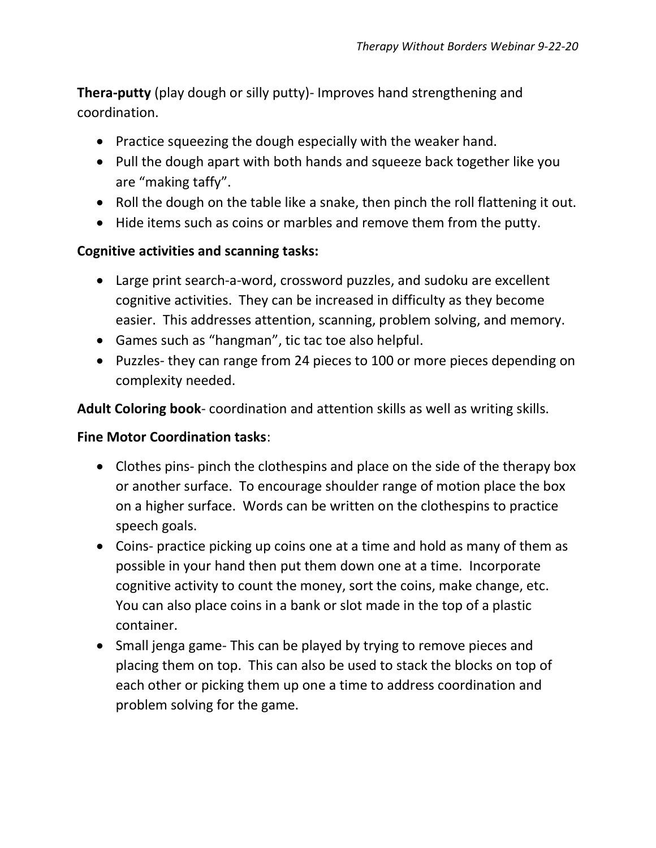Thera-putty (play dough or silly putty)- Improves hand strengthening and coordination.

- Practice squeezing the dough especially with the weaker hand.
- Pull the dough apart with both hands and squeeze back together like you are "making taffy".
- Roll the dough on the table like a snake, then pinch the roll flattening it out.
- Hide items such as coins or marbles and remove them from the putty.

### Cognitive activities and scanning tasks:

- Large print search-a-word, crossword puzzles, and sudoku are excellent cognitive activities. They can be increased in difficulty as they become easier. This addresses attention, scanning, problem solving, and memory.
- Games such as "hangman", tic tac toe also helpful.
- Puzzles- they can range from 24 pieces to 100 or more pieces depending on complexity needed.

Adult Coloring book- coordination and attention skills as well as writing skills.

### Fine Motor Coordination tasks:

- Clothes pins- pinch the clothespins and place on the side of the therapy box or another surface. To encourage shoulder range of motion place the box on a higher surface. Words can be written on the clothespins to practice speech goals.
- Coins- practice picking up coins one at a time and hold as many of them as possible in your hand then put them down one at a time. Incorporate cognitive activity to count the money, sort the coins, make change, etc. You can also place coins in a bank or slot made in the top of a plastic container.
- Small jenga game- This can be played by trying to remove pieces and placing them on top. This can also be used to stack the blocks on top of each other or picking them up one a time to address coordination and problem solving for the game.